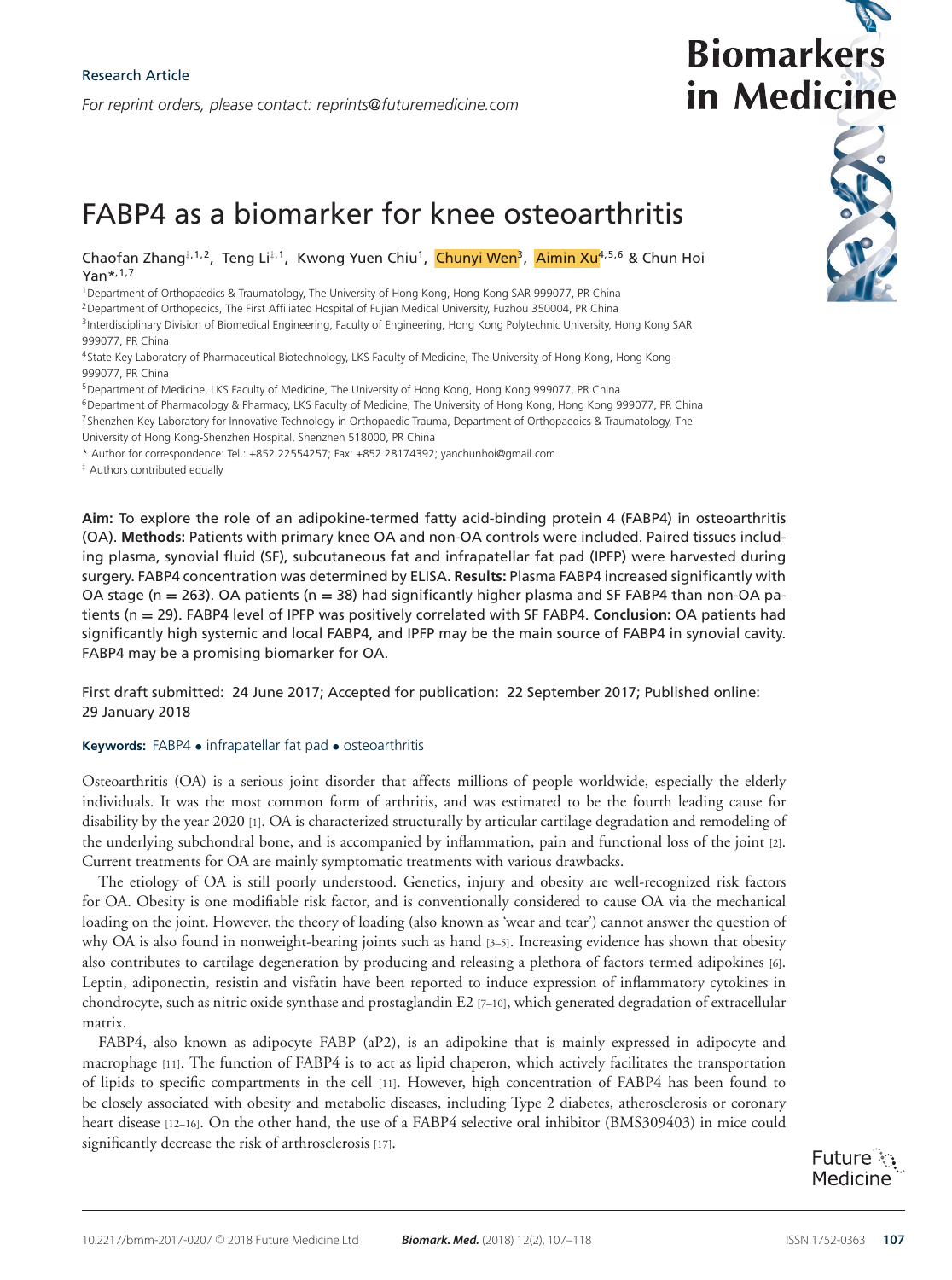*For reprint orders, please contact: reprints@futuremedicine.com*

# **Biomarkers** in Medicine

# FABP4 as a biomarker for knee osteoarthritis

Chaofan Zhang‡,1,2, Teng Li‡,1, Kwong Yuen Chiu<sup>1</sup>, Chunyi Wen<sup>3</sup>, Aimin Xu<sup>4,5,6</sup> & Chun Hoi  $Yan^{*,1,7}$ 

<sup>1</sup>Department of Orthopaedics & Traumatology, The University of Hong Kong, Hong Kong SAR 999077, PR China <sup>2</sup> Department of Orthopedics, The First Affiliated Hospital of Fujian Medical University, Fuzhou 350004, PR China <sup>3</sup>Interdisciplinary Division of Biomedical Engineering, Faculty of Engineering, Hong Kong Polytechnic University, Hong Kong SAR 999077, PR China

4State Key Laboratory of Pharmaceutical Biotechnology, LKS Faculty of Medicine, The University of Hong Kong, Hong Kong 999077, PR China

5Department of Medicine, LKS Faculty of Medicine, The University of Hong Kong, Hong Kong 999077, PR China

6Department of Pharmacology & Pharmacy, LKS Faculty of Medicine, The University of Hong Kong, Hong Kong 999077, PR China 7Shenzhen Key Laboratory for Innovative Technology in Orthopaedic Trauma, Department of Orthopaedics & Traumatology, The University of Hong Kong-Shenzhen Hospital, Shenzhen 518000, PR China

\* Author for correspondence: Tel.: +852 22554257; Fax: +852 28174392; yanchunhoi@gmail.com

‡ Authors contributed equally

**Aim:** To explore the role of an adipokine-termed fatty acid-binding protein 4 (FABP4) in osteoarthritis (OA). **Methods:** Patients with primary knee OA and non-OA controls were included. Paired tissues including plasma, synovial fluid (SF), subcutaneous fat and infrapatellar fat pad (IPFP) were harvested during surgery. FABP4 concentration was determined by ELISA. **Results:** Plasma FABP4 increased significantly with OA stage (n **=** 263). OA patients (n **=** 38) had significantly higher plasma and SF FABP4 than non-OA patients (n **=** 29). FABP4 level of IPFP was positively correlated with SF FABP4. **Conclusion:** OA patients had significantly high systemic and local FABP4, and IPFP may be the main source of FABP4 in synovial cavity. FABP4 may be a promising biomarker for OA.

First draft submitted: 24 June 2017; Accepted for publication: 22 September 2017; Published online: 29 January 2018

#### **Keywords:** FABP4 • infrapatellar fat pad • osteoarthritis

Osteoarthritis (OA) is a serious joint disorder that affects millions of people worldwide, especially the elderly individuals. It was the most common form of arthritis, and was estimated to be the fourth leading cause for disability by the year 2020 [1]. OA is characterized structurally by articular cartilage degradation and remodeling of the underlying subchondral bone, and is accompanied by inflammation, pain and functional loss of the joint [2]. Current treatments for OA are mainly symptomatic treatments with various drawbacks.

The etiology of OA is still poorly understood. Genetics, injury and obesity are well-recognized risk factors for OA. Obesity is one modifiable risk factor, and is conventionally considered to cause OA via the mechanical loading on the joint. However, the theory of loading (also known as 'wear and tear') cannot answer the question of why OA is also found in nonweight-bearing joints such as hand [3–5]. Increasing evidence has shown that obesity also contributes to cartilage degeneration by producing and releasing a plethora of factors termed adipokines [6]. Leptin, adiponectin, resistin and visfatin have been reported to induce expression of inflammatory cytokines in chondrocyte, such as nitric oxide synthase and prostaglandin E2 [7–10], which generated degradation of extracellular matrix.

FABP4, also known as adipocyte FABP (aP2), is an adipokine that is mainly expressed in adipocyte and macrophage [11]. The function of FABP4 is to act as lipid chaperon, which actively facilitates the transportation of lipids to specific compartments in the cell [11]. However, high concentration of FABP4 has been found to be closely associated with obesity and metabolic diseases, including Type 2 diabetes, atherosclerosis or coronary heart disease [12–16]. On the other hand, the use of a FABP4 selective oral inhibitor (BMS309403) in mice could significantly decrease the risk of arthrosclerosis [17].

Future : Medicine

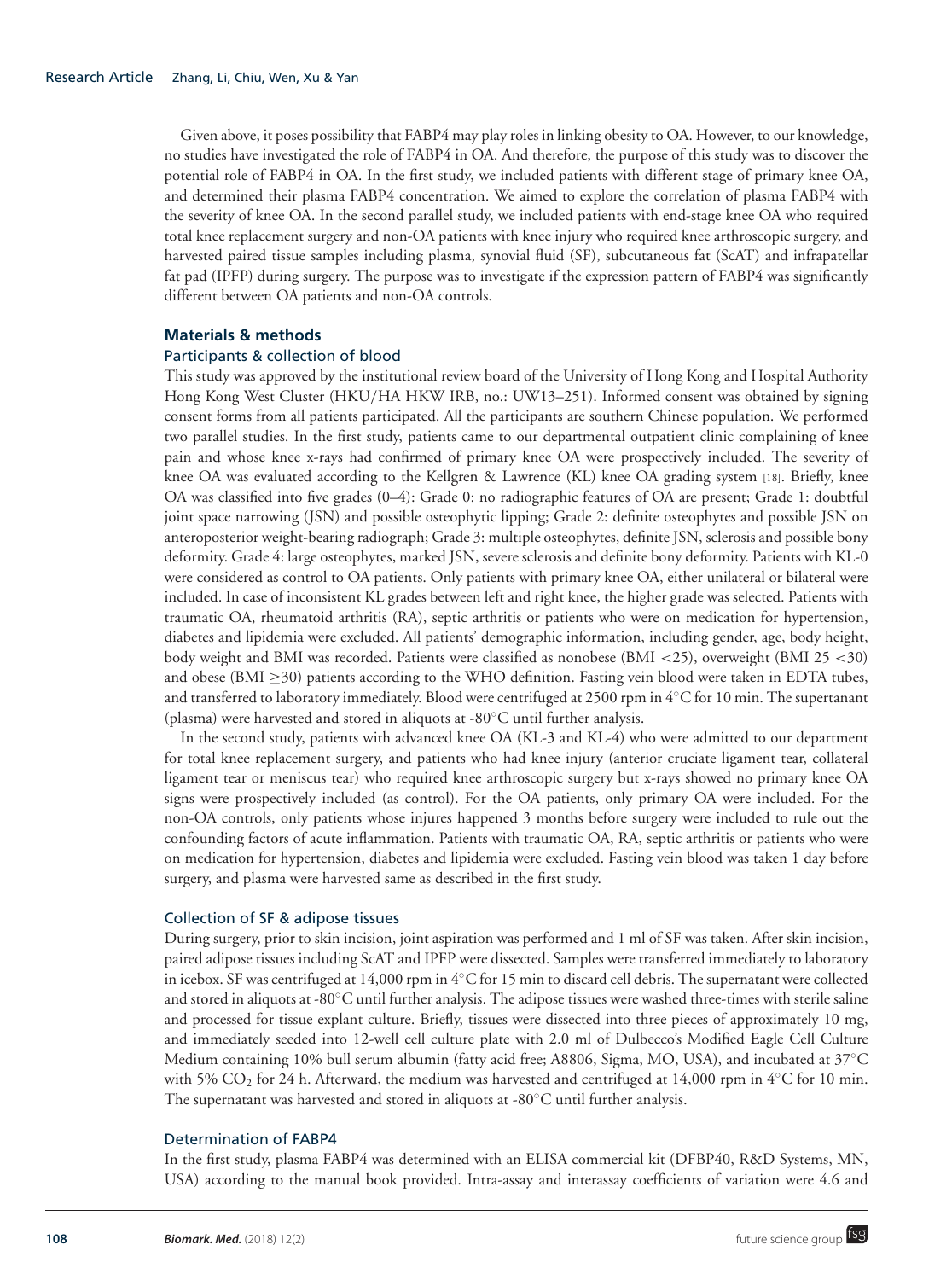Given above, it poses possibility that FABP4 may play roles in linking obesity to OA. However, to our knowledge, no studies have investigated the role of FABP4 in OA. And therefore, the purpose of this study was to discover the potential role of FABP4 in OA. In the first study, we included patients with different stage of primary knee OA, and determined their plasma FABP4 concentration. We aimed to explore the correlation of plasma FABP4 with the severity of knee OA. In the second parallel study, we included patients with end-stage knee OA who required total knee replacement surgery and non-OA patients with knee injury who required knee arthroscopic surgery, and harvested paired tissue samples including plasma, synovial fluid (SF), subcutaneous fat (ScAT) and infrapatellar fat pad (IPFP) during surgery. The purpose was to investigate if the expression pattern of FABP4 was significantly different between OA patients and non-OA controls.

#### **Materials & methods**

#### Participants & collection of blood

This study was approved by the institutional review board of the University of Hong Kong and Hospital Authority Hong Kong West Cluster (HKU/HA HKW IRB, no.: UW13–251). Informed consent was obtained by signing consent forms from all patients participated. All the participants are southern Chinese population. We performed two parallel studies. In the first study, patients came to our departmental outpatient clinic complaining of knee pain and whose knee x-rays had confirmed of primary knee OA were prospectively included. The severity of knee OA was evaluated according to the Kellgren & Lawrence (KL) knee OA grading system [18]. Briefly, knee OA was classified into five grades (0–4): Grade 0: no radiographic features of OA are present; Grade 1: doubtful joint space narrowing (JSN) and possible osteophytic lipping; Grade 2: definite osteophytes and possible JSN on anteroposterior weight-bearing radiograph; Grade 3: multiple osteophytes, definite JSN, sclerosis and possible bony deformity. Grade 4: large osteophytes, marked JSN, severe sclerosis and definite bony deformity. Patients with KL-0 were considered as control to OA patients. Only patients with primary knee OA, either unilateral or bilateral were included. In case of inconsistent KL grades between left and right knee, the higher grade was selected. Patients with traumatic OA, rheumatoid arthritis (RA), septic arthritis or patients who were on medication for hypertension, diabetes and lipidemia were excluded. All patients' demographic information, including gender, age, body height, body weight and BMI was recorded. Patients were classified as nonobese (BMI <25), overweight (BMI 25 <30) and obese (BMI  $\geq$ 30) patients according to the WHO definition. Fasting vein blood were taken in EDTA tubes, and transferred to laboratory immediately. Blood were centrifuged at 2500 rpm in  $4<sup>o</sup>C for 10 min. The supertanant$ (plasma) were harvested and stored in aliquots at -80◦C until further analysis.

In the second study, patients with advanced knee OA (KL-3 and KL-4) who were admitted to our department for total knee replacement surgery, and patients who had knee injury (anterior cruciate ligament tear, collateral ligament tear or meniscus tear) who required knee arthroscopic surgery but x-rays showed no primary knee OA signs were prospectively included (as control). For the OA patients, only primary OA were included. For the non-OA controls, only patients whose injures happened 3 months before surgery were included to rule out the confounding factors of acute inflammation. Patients with traumatic OA, RA, septic arthritis or patients who were on medication for hypertension, diabetes and lipidemia were excluded. Fasting vein blood was taken 1 day before surgery, and plasma were harvested same as described in the first study.

#### Collection of SF & adipose tissues

During surgery, prior to skin incision, joint aspiration was performed and 1 ml of SF was taken. After skin incision, paired adipose tissues including ScAT and IPFP were dissected. Samples were transferred immediately to laboratory in icebox. SF was centrifuged at 14,000 rpm in 4◦C for 15 min to discard cell debris. The supernatant were collected and stored in aliquots at -80°C until further analysis. The adipose tissues were washed three-times with sterile saline and processed for tissue explant culture. Briefly, tissues were dissected into three pieces of approximately 10 mg, and immediately seeded into 12-well cell culture plate with 2.0 ml of Dulbecco's Modified Eagle Cell Culture Medium containing 10% bull serum albumin (fatty acid free; A8806, Sigma, MO, USA), and incubated at 37◦C with 5% CO<sub>2</sub> for 24 h. Afterward, the medium was harvested and centrifuged at 14,000 rpm in 4°C for 10 min. The supernatant was harvested and stored in aliquots at -80°C until further analysis.

#### Determination of FABP4

In the first study, plasma FABP4 was determined with an ELISA commercial kit (DFBP40, R&D Systems, MN, USA) according to the manual book provided. Intra-assay and interassay coefficients of variation were 4.6 and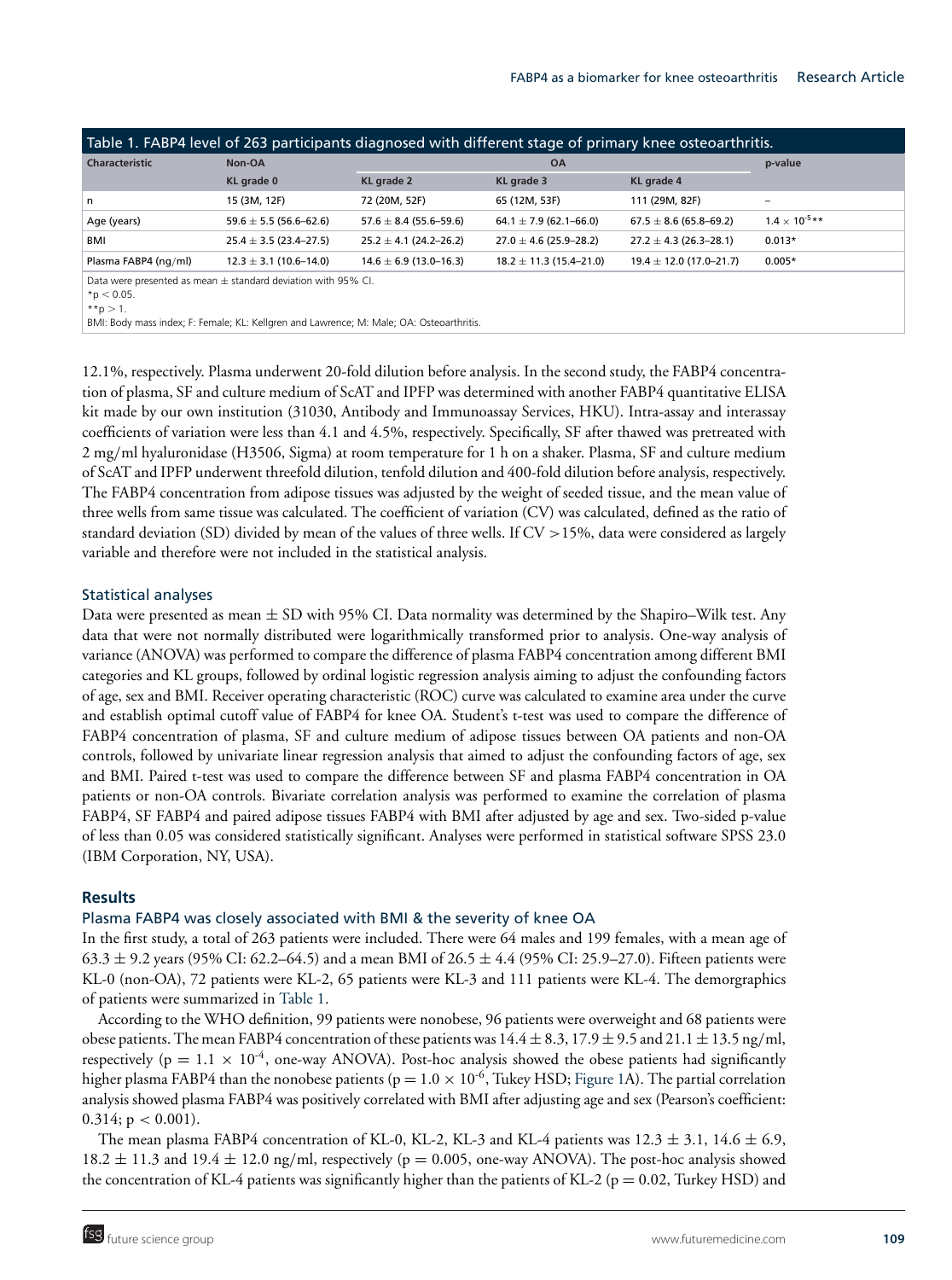| Table 1. FABP4 level of 263 participants diagnosed with different stage of primary knee osteoarthritis.                                                                                       |                            |                            |                             |                             |                         |  |  |
|-----------------------------------------------------------------------------------------------------------------------------------------------------------------------------------------------|----------------------------|----------------------------|-----------------------------|-----------------------------|-------------------------|--|--|
| <b>Characteristic</b>                                                                                                                                                                         | Non-OA                     |                            | <b>OA</b>                   |                             | p-value                 |  |  |
|                                                                                                                                                                                               | KL grade 0                 | KL grade 2                 | KL grade 3                  | KL grade 4                  |                         |  |  |
| n                                                                                                                                                                                             | 15 (3M, 12F)               | 72 (20M, 52F)              | 65 (12M, 53F)               | 111 (29M, 82F)              | -                       |  |  |
| Age (years)                                                                                                                                                                                   | $59.6 \pm 5.5$ (56.6–62.6) | $57.6 \pm 8.4$ (55.6–59.6) | $64.1 \pm 7.9$ (62.1–66.0)  | $67.5 \pm 8.6$ (65.8–69.2)  | $1.4 \times 10^{-5}$ ** |  |  |
| BMI                                                                                                                                                                                           | $25.4 \pm 3.5$ (23.4–27.5) | $25.2 \pm 4.1$ (24.2–26.2) | $27.0 \pm 4.6$ (25.9–28.2)  | $27.2 \pm 4.3$ (26.3–28.1)  | $0.013*$                |  |  |
| Plasma FABP4 (ng/ml)                                                                                                                                                                          | $12.3 \pm 3.1$ (10.6-14.0) | $14.6 \pm 6.9$ (13.0–16.3) | $18.2 \pm 11.3$ (15.4–21.0) | $19.4 \pm 12.0$ (17.0–21.7) | $0.005*$                |  |  |
| Data were presented as mean $\pm$ standard deviation with 95% CI.<br>*p $< 0.05$ .<br>**p $> 1$ .<br>BMI: Body mass index; F: Female; KL: Kellgren and Lawrence; M: Male; OA: Osteoarthritis. |                            |                            |                             |                             |                         |  |  |

12.1%, respectively. Plasma underwent 20-fold dilution before analysis. In the second study, the FABP4 concentration of plasma, SF and culture medium of ScAT and IPFP was determined with another FABP4 quantitative ELISA kit made by our own institution (31030, Antibody and Immunoassay Services, HKU). Intra-assay and interassay coefficients of variation were less than 4.1 and 4.5%, respectively. Specifically, SF after thawed was pretreated with 2 mg/ml hyaluronidase (H3506, Sigma) at room temperature for 1 h on a shaker. Plasma, SF and culture medium of ScAT and IPFP underwent threefold dilution, tenfold dilution and 400-fold dilution before analysis, respectively. The FABP4 concentration from adipose tissues was adjusted by the weight of seeded tissue, and the mean value of three wells from same tissue was calculated. The coefficient of variation (CV) was calculated, defined as the ratio of standard deviation (SD) divided by mean of the values of three wells. If CV >15%, data were considered as largely variable and therefore were not included in the statistical analysis.

# Statistical analyses

Data were presented as mean  $\pm$  SD with 95% CI. Data normality was determined by the Shapiro–Wilk test. Any data that were not normally distributed were logarithmically transformed prior to analysis. One-way analysis of variance (ANOVA) was performed to compare the difference of plasma FABP4 concentration among different BMI categories and KL groups, followed by ordinal logistic regression analysis aiming to adjust the confounding factors of age, sex and BMI. Receiver operating characteristic (ROC) curve was calculated to examine area under the curve and establish optimal cutoff value of FABP4 for knee OA. Student's t-test was used to compare the difference of FABP4 concentration of plasma, SF and culture medium of adipose tissues between OA patients and non-OA controls, followed by univariate linear regression analysis that aimed to adjust the confounding factors of age, sex and BMI. Paired t-test was used to compare the difference between SF and plasma FABP4 concentration in OA patients or non-OA controls. Bivariate correlation analysis was performed to examine the correlation of plasma FABP4, SF FABP4 and paired adipose tissues FABP4 with BMI after adjusted by age and sex. Two-sided p-value of less than 0.05 was considered statistically significant. Analyses were performed in statistical software SPSS 23.0 (IBM Corporation, NY, USA).

# **Results**

#### Plasma FABP4 was closely associated with BMI & the severity of knee OA

In the first study, a total of 263 patients were included. There were 64 males and 199 females, with a mean age of 63.3  $\pm$  9.2 years (95% CI: 62.2–64.5) and a mean BMI of 26.5  $\pm$  4.4 (95% CI: 25.9–27.0). Fifteen patients were KL-0 (non-OA), 72 patients were KL-2, 65 patients were KL-3 and 111 patients were KL-4. The demorgraphics of patients were summarized in Table 1.

According to the WHO definition, 99 patients were nonobese, 96 patients were overweight and 68 patients were obese patients. The mean FABP4 concentration of these patients was  $14.4 \pm 8.3$ ,  $17.9 \pm 9.5$  and  $21.1 \pm 13.5$  ng/ml, respectively ( $p = 1.1 \times 10^{-4}$ , one-way ANOVA). Post-hoc analysis showed the obese patients had significantly higher plasma FABP4 than the nonobese patients ( $p = 1.0 \times 10^{-6}$ , Tukey HSD; Figure 1A). The partial correlation analysis showed plasma FABP4 was positively correlated with BMI after adjusting age and sex (Pearson's coefficient: 0.314;  $p < 0.001$ ).

The mean plasma FABP4 concentration of KL-0, KL-2, KL-3 and KL-4 patients was  $12.3 \pm 3.1$ ,  $14.6 \pm 6.9$ ,  $18.2 \pm 11.3$  and  $19.4 \pm 12.0$  ng/ml, respectively (p = 0.005, one-way ANOVA). The post-hoc analysis showed the concentration of KL-4 patients was significantly higher than the patients of KL-2 ( $p = 0.02$ , Turkey HSD) and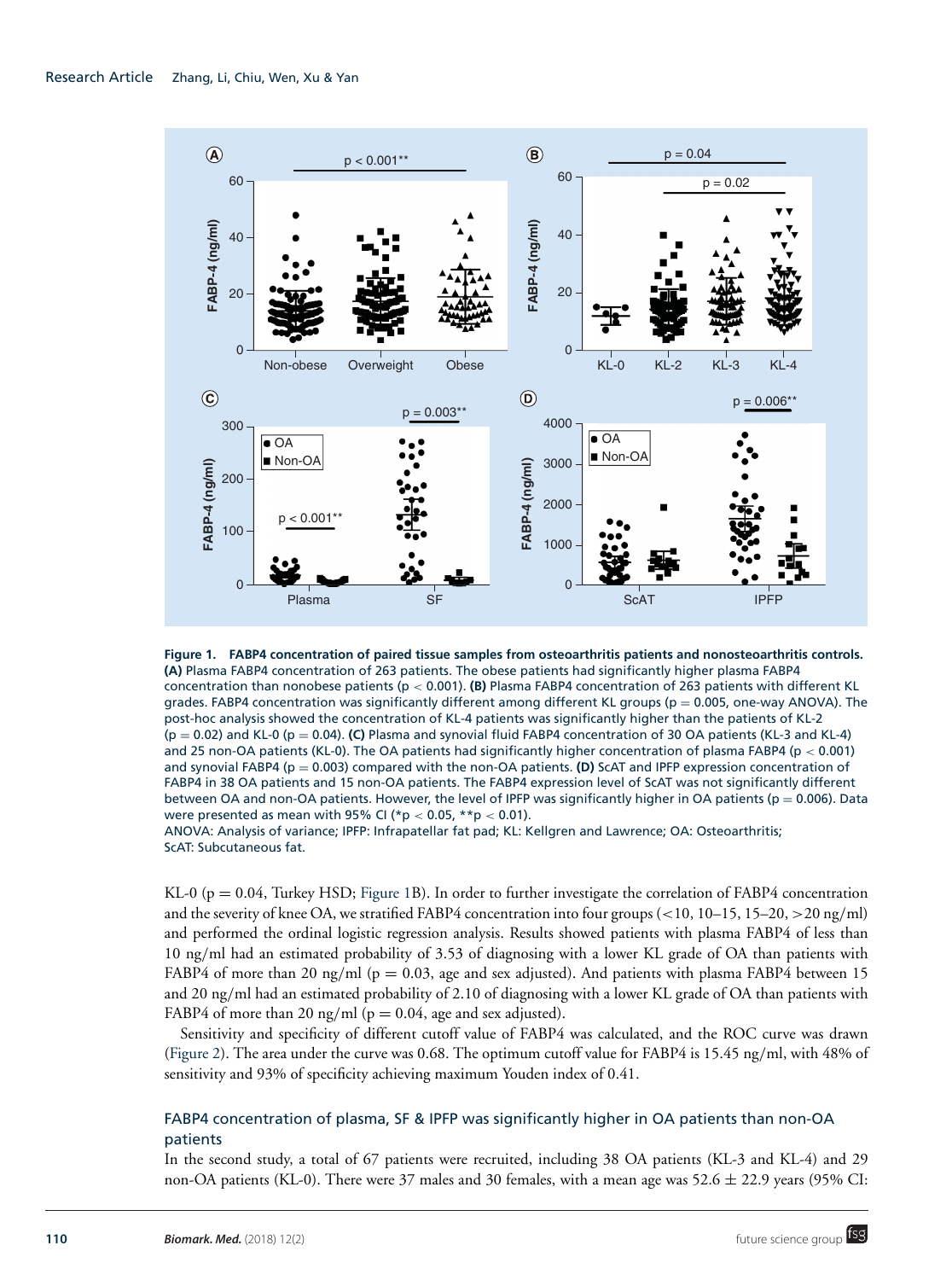

**Figure 1. FABP4 concentration of paired tissue samples from osteoarthritis patients and nonosteoarthritis controls. (A)** Plasma FABP4 concentration of 263 patients. The obese patients had significantly higher plasma FABP4 concentration than nonobese patients (p < 0.001). **(B)** Plasma FABP4 concentration of 263 patients with different KL grades. FABP4 concentration was significantly different among different KL groups ( $p = 0.005$ , one-way ANOVA). The post-hoc analysis showed the concentration of KL-4 patients was significantly higher than the patients of KL-2 (p = 0.02) and KL-0 (p = 0.04). **(C)** Plasma and synovial fluid FABP4 concentration of 30 OA patients (KL-3 and KL-4) and 25 non-OA patients (KL-0). The OA patients had significantly higher concentration of plasma FABP4 ( $p < 0.001$ ) and synovial FABP4 (p = 0.003) compared with the non-OA patients. **(D)** ScAT and IPFP expression concentration of FABP4 in 38 OA patients and 15 non-OA patients. The FABP4 expression level of ScAT was not significantly different between OA and non-OA patients. However, the level of IPFP was significantly higher in OA patients ( $p = 0.006$ ). Data were presented as mean with 95% CI ( $p < 0.05$ ,  $* p < 0.01$ ).

ANOVA: Analysis of variance; IPFP: Infrapatellar fat pad; KL: Kellgren and Lawrence; OA: Osteoarthritis; ScAT: Subcutaneous fat.

KL-0 (p = 0.04, Turkey HSD; Figure 1B). In order to further investigate the correlation of FABP4 concentration and the severity of knee OA, we stratified FABP4 concentration into four groups (<10, 10–15, 15–20, >20 ng/ml) and performed the ordinal logistic regression analysis. Results showed patients with plasma FABP4 of less than 10 ng/ml had an estimated probability of 3.53 of diagnosing with a lower KL grade of OA than patients with FABP4 of more than 20 ng/ml ( $p = 0.03$ , age and sex adjusted). And patients with plasma FABP4 between 15 and 20 ng/ml had an estimated probability of 2.10 of diagnosing with a lower KL grade of OA than patients with FABP4 of more than 20 ng/ml ( $p = 0.04$ , age and sex adjusted).

Sensitivity and specificity of different cutoff value of FABP4 was calculated, and the ROC curve was drawn (Figure 2). The area under the curve was 0.68. The optimum cutoff value for FABP4 is 15.45 ng/ml, with 48% of sensitivity and 93% of specificity achieving maximum Youden index of 0.41.

# FABP4 concentration of plasma, SF & IPFP was significantly higher in OA patients than non-OA patients

In the second study, a total of 67 patients were recruited, including 38 OA patients (KL-3 and KL-4) and 29 non-OA patients (KL-0). There were 37 males and 30 females, with a mean age was 52.6 ± 22.9 years (95% CI: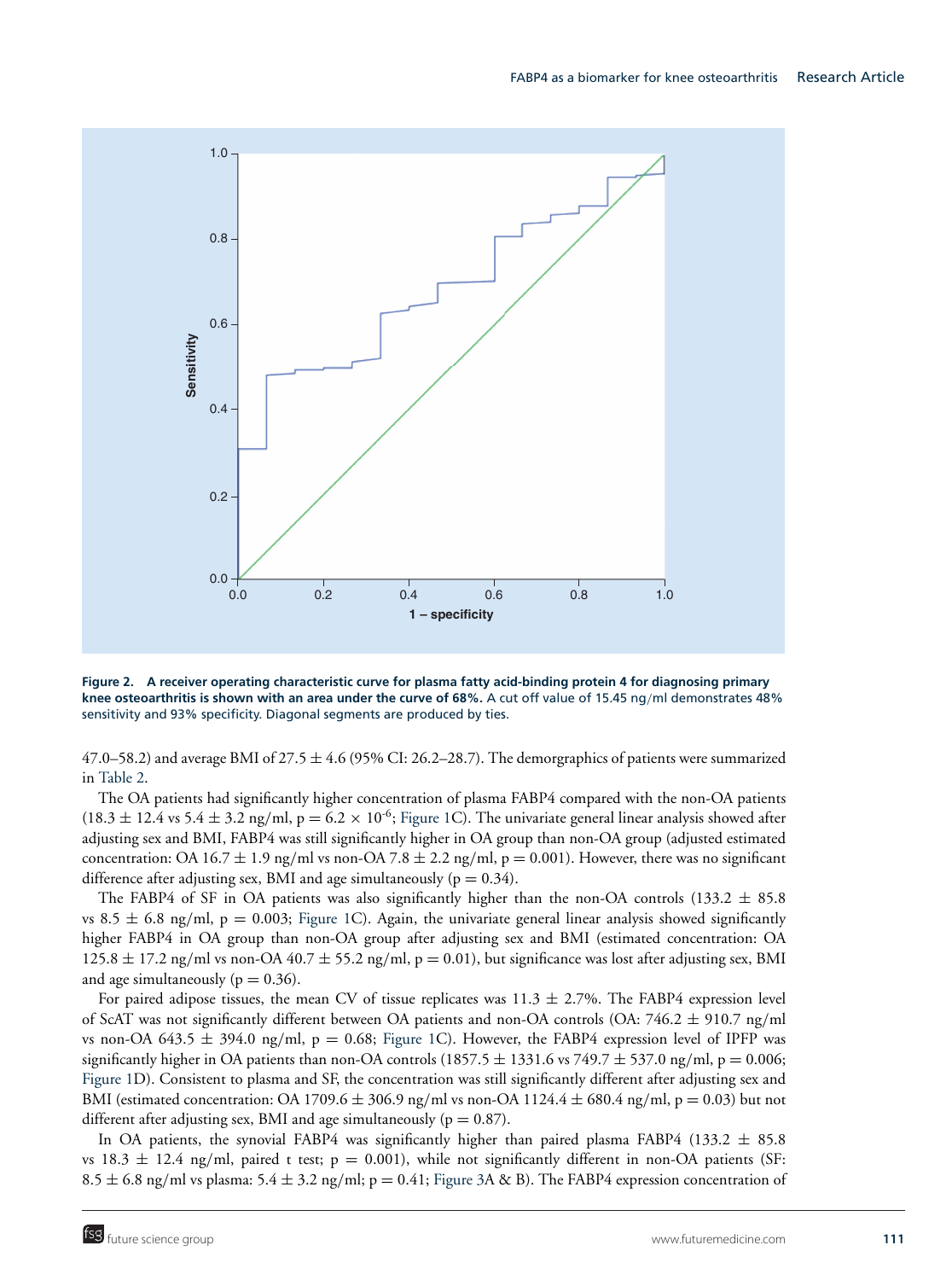

**Figure 2. A receiver operating characteristic curve for plasma fatty acid-binding protein 4 for diagnosing primary knee osteoarthritis is shown with an area under the curve of 68%.** A cut off value of 15.45 ng/ml demonstrates 48% sensitivity and 93% specificity. Diagonal segments are produced by ties.

 $47.0-58.2$ ) and average BMI of  $27.5 \pm 4.6$  (95% CI: 26.2–28.7). The demorgraphics of patients were summarized in Table 2.

The OA patients had significantly higher concentration of plasma FABP4 compared with the non-OA patients  $(18.3 \pm 12.4 \text{ vs } 5.4 \pm 3.2 \text{ ng/ml}, p = 6.2 \times 10^{-6}$ ; Figure 1C). The univariate general linear analysis showed after adjusting sex and BMI, FABP4 was still significantly higher in OA group than non-OA group (adjusted estimated concentration: OA 16.7  $\pm$  1.9 ng/ml vs non-OA 7.8  $\pm$  2.2 ng/ml, p = 0.001). However, there was no significant difference after adjusting sex, BMI and age simultaneously ( $p = 0.34$ ).

The FABP4 of SF in OA patients was also significantly higher than the non-OA controls (133.2  $\pm$  85.8 vs 8.5  $\pm$  6.8 ng/ml, p = 0.003; Figure 1C). Again, the univariate general linear analysis showed significantly higher FABP4 in OA group than non-OA group after adjusting sex and BMI (estimated concentration: OA  $125.8 \pm 17.2$  ng/ml vs non-OA  $40.7 \pm 55.2$  ng/ml,  $p = 0.01$ ), but significance was lost after adjusting sex, BMI and age simultaneously ( $p = 0.36$ ).

For paired adipose tissues, the mean CV of tissue replicates was  $11.3 \pm 2.7$ %. The FABP4 expression level of ScAT was not significantly different between OA patients and non-OA controls (OA:  $746.2 \pm 910.7$  ng/ml vs non-OA 643.5  $\pm$  394.0 ng/ml, p = 0.68; Figure 1C). However, the FABP4 expression level of IPFP was significantly higher in OA patients than non-OA controls (1857.5  $\pm$  1331.6 vs 749.7  $\pm$  537.0 ng/ml, p = 0.006; Figure 1D). Consistent to plasma and SF, the concentration was still significantly different after adjusting sex and BMI (estimated concentration: OA 1709.6  $\pm$  306.9 ng/ml vs non-OA 1124.4  $\pm$  680.4 ng/ml, p = 0.03) but not different after adjusting sex, BMI and age simultaneously ( $p = 0.87$ ).

In OA patients, the synovial FABP4 was significantly higher than paired plasma FABP4 (133.2  $\pm$  85.8 vs 18.3  $\pm$  12.4 ng/ml, paired t test; p = 0.001), while not significantly different in non-OA patients (SF: 8.5  $\pm$  6.8 ng/ml vs plasma: 5.4  $\pm$  3.2 ng/ml; p = 0.41; Figure 3A & B). The FABP4 expression concentration of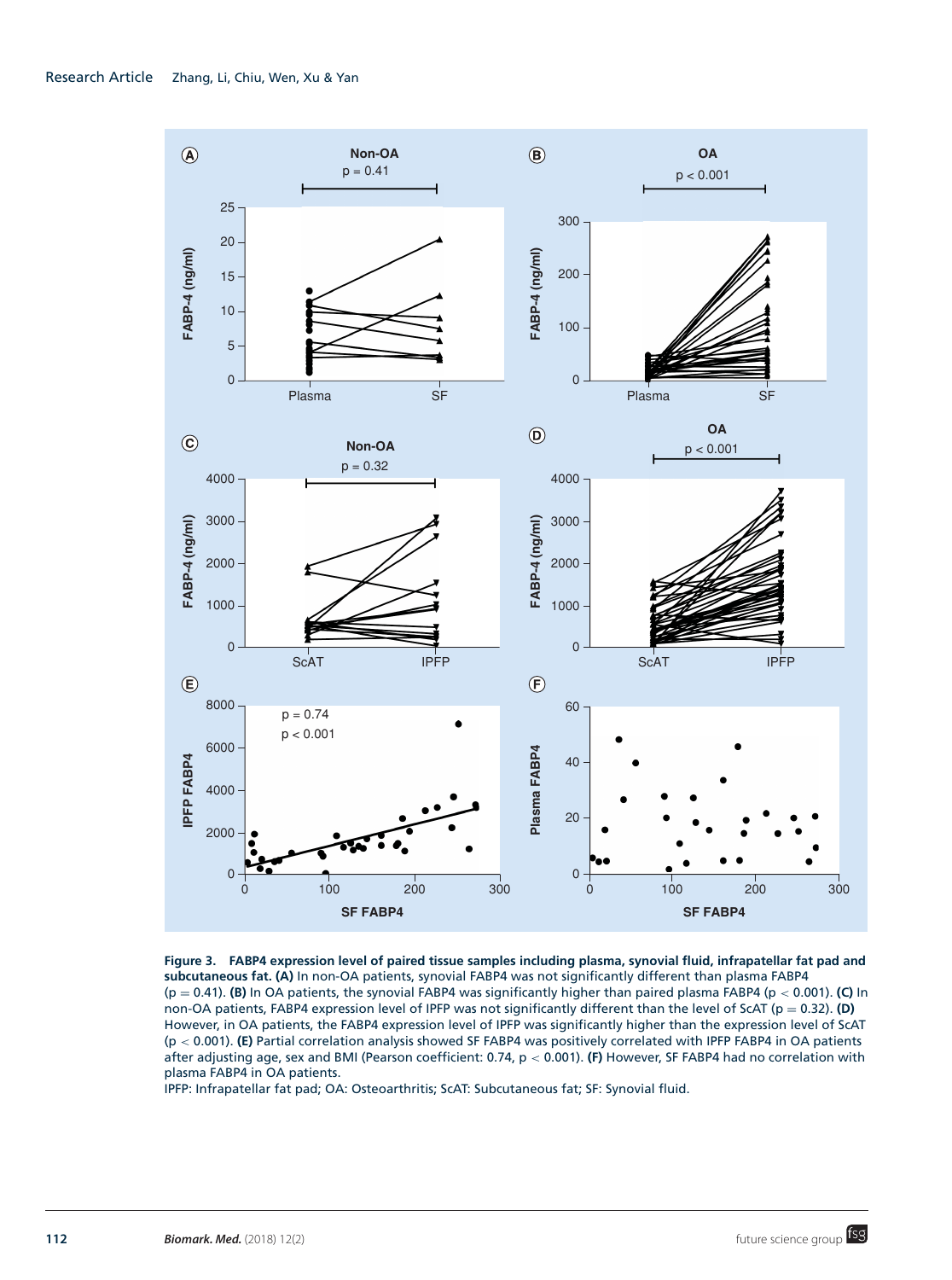

**Figure 3. FABP4 expression level of paired tissue samples including plasma, synovial fluid, infrapatellar fat pad and subcutaneous fat. (A)** In non-OA patients, synovial FABP4 was not significantly different than plasma FABP4 (p = 0.41). **(B)** In OA patients, the synovial FABP4 was significantly higher than paired plasma FABP4 (p < 0.001). **(C)** In non-OA patients, FABP4 expression level of IPFP was not significantly different than the level of ScAT ( $p = 0.32$ ). **(D)** However, in OA patients, the FABP4 expression level of IPFP was significantly higher than the expression level of ScAT (p < 0.001). **(E)** Partial correlation analysis showed SF FABP4 was positively correlated with IPFP FABP4 in OA patients after adjusting age, sex and BMI (Pearson coefficient: 0.74, p < 0.001). **(F)** However, SF FABP4 had no correlation with plasma FABP4 in OA patients.

IPFP: Infrapatellar fat pad; OA: Osteoarthritis; ScAT: Subcutaneous fat; SF: Synovial fluid.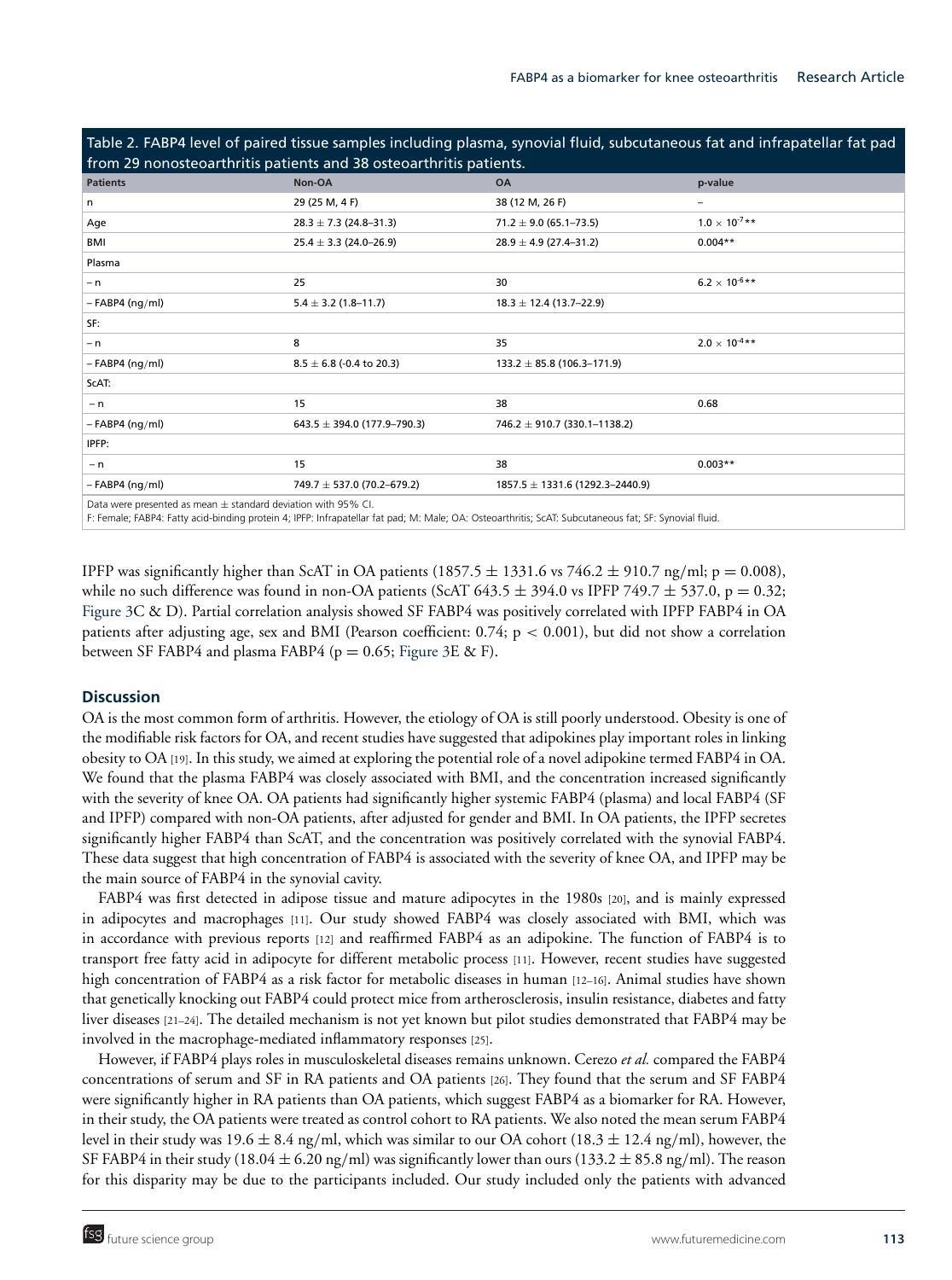Table 2. FABP4 level of paired tissue samples including plasma, synovial fluid, subcutaneous fat and infrapatellar fat pad

| from 29 nonosteoarthritis patients and 38 osteoarthritis patients. |                                 |                                     |                         |  |  |  |
|--------------------------------------------------------------------|---------------------------------|-------------------------------------|-------------------------|--|--|--|
| <b>Patients</b>                                                    | Non-OA                          | <b>OA</b>                           | p-value                 |  |  |  |
| n                                                                  | 29 (25 M, 4 F)                  | 38 (12 M, 26 F)                     | -                       |  |  |  |
| Age                                                                | $28.3 \pm 7.3$ (24.8-31.3)      | $71.2 \pm 9.0$ (65.1–73.5)          | $1.0 \times 10^{-7}$ ** |  |  |  |
| BMI                                                                | $25.4 \pm 3.3$ (24.0-26.9)      | $28.9 \pm 4.9$ (27.4-31.2)          | $0.004**$               |  |  |  |
| Plasma                                                             |                                 |                                     |                         |  |  |  |
| $- n$                                                              | 25                              | 30                                  | $6.2 \times 10^{-6}$ ** |  |  |  |
| $-$ FABP4 (ng/ml)                                                  | $5.4 \pm 3.2$ (1.8–11.7)        | $18.3 \pm 12.4$ (13.7–22.9)         |                         |  |  |  |
| SF:                                                                |                                 |                                     |                         |  |  |  |
| $- n$                                                              | 8                               | 35                                  | $2.0 \times 10^{-4}$ ** |  |  |  |
| $-$ FABP4 (ng/ml)                                                  | $8.5 \pm 6.8$ (-0.4 to 20.3)    | $133.2 \pm 85.8$ (106.3-171.9)      |                         |  |  |  |
| ScAT:                                                              |                                 |                                     |                         |  |  |  |
| $- n$                                                              | 15                              | 38                                  | 0.68                    |  |  |  |
| $-$ FABP4 (ng/ml)                                                  | $643.5 \pm 394.0$ (177.9-790.3) | 746.2 $\pm$ 910.7 (330.1–1138.2)    |                         |  |  |  |
| IPFP:                                                              |                                 |                                     |                         |  |  |  |
| $- n$                                                              | 15                              | 38                                  | $0.003**$               |  |  |  |
| $-$ FABP4 (ng/ml)                                                  | 749.7 $\pm$ 537.0 (70.2–679.2)  | $1857.5 \pm 1331.6$ (1292.3-2440.9) |                         |  |  |  |
| Determine and control of models. I standard deviating with OFA/ CI |                                 |                                     |                         |  |  |  |

Data were presented as mean ± standard deviation with 95% CI.

F: Female; FABP4: Fatty acid-binding protein 4; IPFP: Infrapatellar fat pad; M: Male; OA: Osteoarthritis; ScAT: Subcutaneous fat; SF: Synovial fluid.

IPFP was significantly higher than ScAT in OA patients (1857.5  $\pm$  1331.6 vs 746.2  $\pm$  910.7 ng/ml; p = 0.008), while no such difference was found in non-OA patients (ScAT 643.5  $\pm$  394.0 vs IPFP 749.7  $\pm$  537.0, p = 0.32; Figure 3C & D). Partial correlation analysis showed SF FABP4 was positively correlated with IPFP FABP4 in OA patients after adjusting age, sex and BMI (Pearson coefficient:  $0.74$ ;  $p < 0.001$ ), but did not show a correlation between SF FABP4 and plasma FABP4 ( $p = 0.65$ ; Figure 3E & F).

### **Discussion**

OA is the most common form of arthritis. However, the etiology of OA is still poorly understood. Obesity is one of the modifiable risk factors for OA, and recent studies have suggested that adipokines play important roles in linking obesity to OA [19]. In this study, we aimed at exploring the potential role of a novel adipokine termed FABP4 in OA. We found that the plasma FABP4 was closely associated with BMI, and the concentration increased significantly with the severity of knee OA. OA patients had significantly higher systemic FABP4 (plasma) and local FABP4 (SF and IPFP) compared with non-OA patients, after adjusted for gender and BMI. In OA patients, the IPFP secretes significantly higher FABP4 than ScAT, and the concentration was positively correlated with the synovial FABP4. These data suggest that high concentration of FABP4 is associated with the severity of knee OA, and IPFP may be the main source of FABP4 in the synovial cavity.

FABP4 was first detected in adipose tissue and mature adipocytes in the 1980s [20], and is mainly expressed in adipocytes and macrophages [11]. Our study showed FABP4 was closely associated with BMI, which was in accordance with previous reports [12] and reaffirmed FABP4 as an adipokine. The function of FABP4 is to transport free fatty acid in adipocyte for different metabolic process [11]. However, recent studies have suggested high concentration of FABP4 as a risk factor for metabolic diseases in human [12-16]. Animal studies have shown that genetically knocking out FABP4 could protect mice from artherosclerosis, insulin resistance, diabetes and fatty liver diseases [21–24]. The detailed mechanism is not yet known but pilot studies demonstrated that FABP4 may be involved in the macrophage-mediated inflammatory responses [25].

However, if FABP4 plays roles in musculoskeletal diseases remains unknown. Cerezo *et al.* compared the FABP4 concentrations of serum and SF in RA patients and OA patients [26]. They found that the serum and SF FABP4 were significantly higher in RA patients than OA patients, which suggest FABP4 as a biomarker for RA. However, in their study, the OA patients were treated as control cohort to RA patients. We also noted the mean serum FABP4 level in their study was 19.6  $\pm$  8.4 ng/ml, which was similar to our OA cohort (18.3  $\pm$  12.4 ng/ml), however, the SF FABP4 in their study (18.04  $\pm$  6.20 ng/ml) was significantly lower than ours (133.2  $\pm$  85.8 ng/ml). The reason for this disparity may be due to the participants included. Our study included only the patients with advanced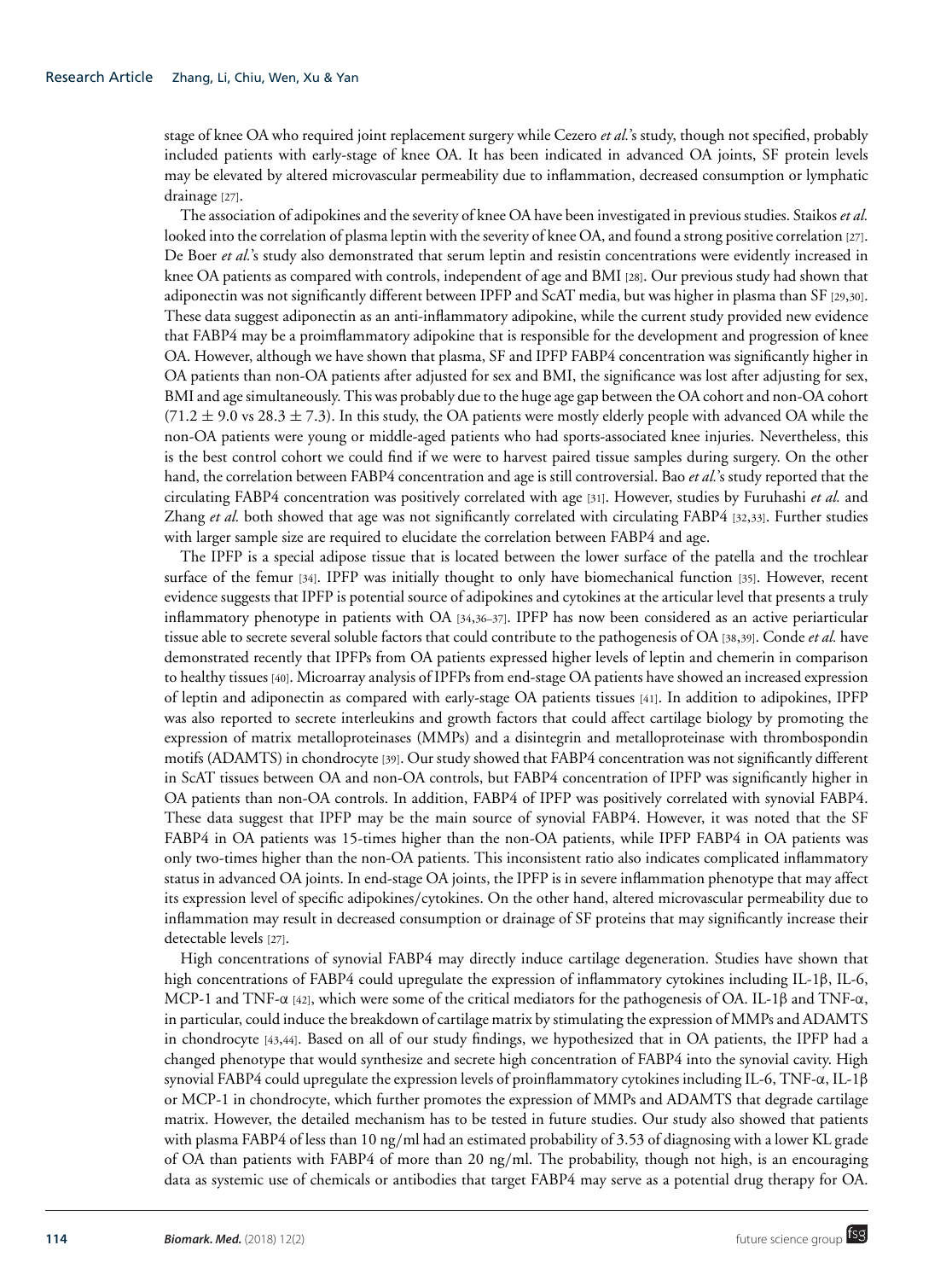stage of knee OA who required joint replacement surgery while Cezero *et al.*'s study, though not specified, probably included patients with early-stage of knee OA. It has been indicated in advanced OA joints, SF protein levels may be elevated by altered microvascular permeability due to inflammation, decreased consumption or lymphatic drainage [27].

The association of adipokines and the severity of knee OA have been investigated in previous studies. Staikos *et al.* looked into the correlation of plasma leptin with the severity of knee OA, and found a strong positive correlation [27]. De Boer *et al.*'s study also demonstrated that serum leptin and resistin concentrations were evidently increased in knee OA patients as compared with controls, independent of age and BMI [28]. Our previous study had shown that adiponectin was not significantly different between IPFP and ScAT media, but was higher in plasma than SF [29,30]. These data suggest adiponectin as an anti-inflammatory adipokine, while the current study provided new evidence that FABP4 may be a proimflammatory adipokine that is responsible for the development and progression of knee OA. However, although we have shown that plasma, SF and IPFP FABP4 concentration was significantly higher in OA patients than non-OA patients after adjusted for sex and BMI, the significance was lost after adjusting for sex, BMI and age simultaneously. This was probably due to the huge age gap between the OA cohort and non-OA cohort  $(71.2 \pm 9.0 \text{ vs } 28.3 \pm 7.3)$ . In this study, the OA patients were mostly elderly people with advanced OA while the non-OA patients were young or middle-aged patients who had sports-associated knee injuries. Nevertheless, this is the best control cohort we could find if we were to harvest paired tissue samples during surgery. On the other hand, the correlation between FABP4 concentration and age is still controversial. Bao *et al.*'s study reported that the circulating FABP4 concentration was positively correlated with age [31]. However, studies by Furuhashi *et al.* and Zhang *et al.* both showed that age was not significantly correlated with circulating FABP4 [32,33]. Further studies with larger sample size are required to elucidate the correlation between FABP4 and age.

The IPFP is a special adipose tissue that is located between the lower surface of the patella and the trochlear surface of the femur [34]. IPFP was initially thought to only have biomechanical function [35]. However, recent evidence suggests that IPFP is potential source of adipokines and cytokines at the articular level that presents a truly inflammatory phenotype in patients with OA [34,36–37]. IPFP has now been considered as an active periarticular tissue able to secrete several soluble factors that could contribute to the pathogenesis of OA [38,39]. Conde *et al.* have demonstrated recently that IPFPs from OA patients expressed higher levels of leptin and chemerin in comparison to healthy tissues [40]. Microarray analysis of IPFPs from end-stage OA patients have showed an increased expression of leptin and adiponectin as compared with early-stage OA patients tissues [41]. In addition to adipokines, IPFP was also reported to secrete interleukins and growth factors that could affect cartilage biology by promoting the expression of matrix metalloproteinases (MMPs) and a disintegrin and metalloproteinase with thrombospondin motifs (ADAMTS) in chondrocyte [39]. Our study showed that FABP4 concentration was not significantly different in ScAT tissues between OA and non-OA controls, but FABP4 concentration of IPFP was significantly higher in OA patients than non-OA controls. In addition, FABP4 of IPFP was positively correlated with synovial FABP4. These data suggest that IPFP may be the main source of synovial FABP4. However, it was noted that the SF FABP4 in OA patients was 15-times higher than the non-OA patients, while IPFP FABP4 in OA patients was only two-times higher than the non-OA patients. This inconsistent ratio also indicates complicated inflammatory status in advanced OA joints. In end-stage OA joints, the IPFP is in severe inflammation phenotype that may affect its expression level of specific adipokines/cytokines. On the other hand, altered microvascular permeability due to inflammation may result in decreased consumption or drainage of SF proteins that may significantly increase their detectable levels [27].

High concentrations of synovial FABP4 may directly induce cartilage degeneration. Studies have shown that high concentrations of FABP4 could upregulate the expression of inflammatory cytokines including IL-1β, IL-6, MCP-1 and TNF-α [42], which were some of the critical mediators for the pathogenesis of OA. IL-1β and TNF-α, in particular, could induce the breakdown of cartilage matrix by stimulating the expression of MMPs and ADAMTS in chondrocyte [43,44]. Based on all of our study findings, we hypothesized that in OA patients, the IPFP had a changed phenotype that would synthesize and secrete high concentration of FABP4 into the synovial cavity. High synovial FABP4 could upregulate the expression levels of proinflammatory cytokines including IL-6, TNF-α, IL-1β or MCP-1 in chondrocyte, which further promotes the expression of MMPs and ADAMTS that degrade cartilage matrix. However, the detailed mechanism has to be tested in future studies. Our study also showed that patients with plasma FABP4 of less than 10 ng/ml had an estimated probability of 3.53 of diagnosing with a lower KL grade of OA than patients with FABP4 of more than 20 ng/ml. The probability, though not high, is an encouraging data as systemic use of chemicals or antibodies that target FABP4 may serve as a potential drug therapy for OA.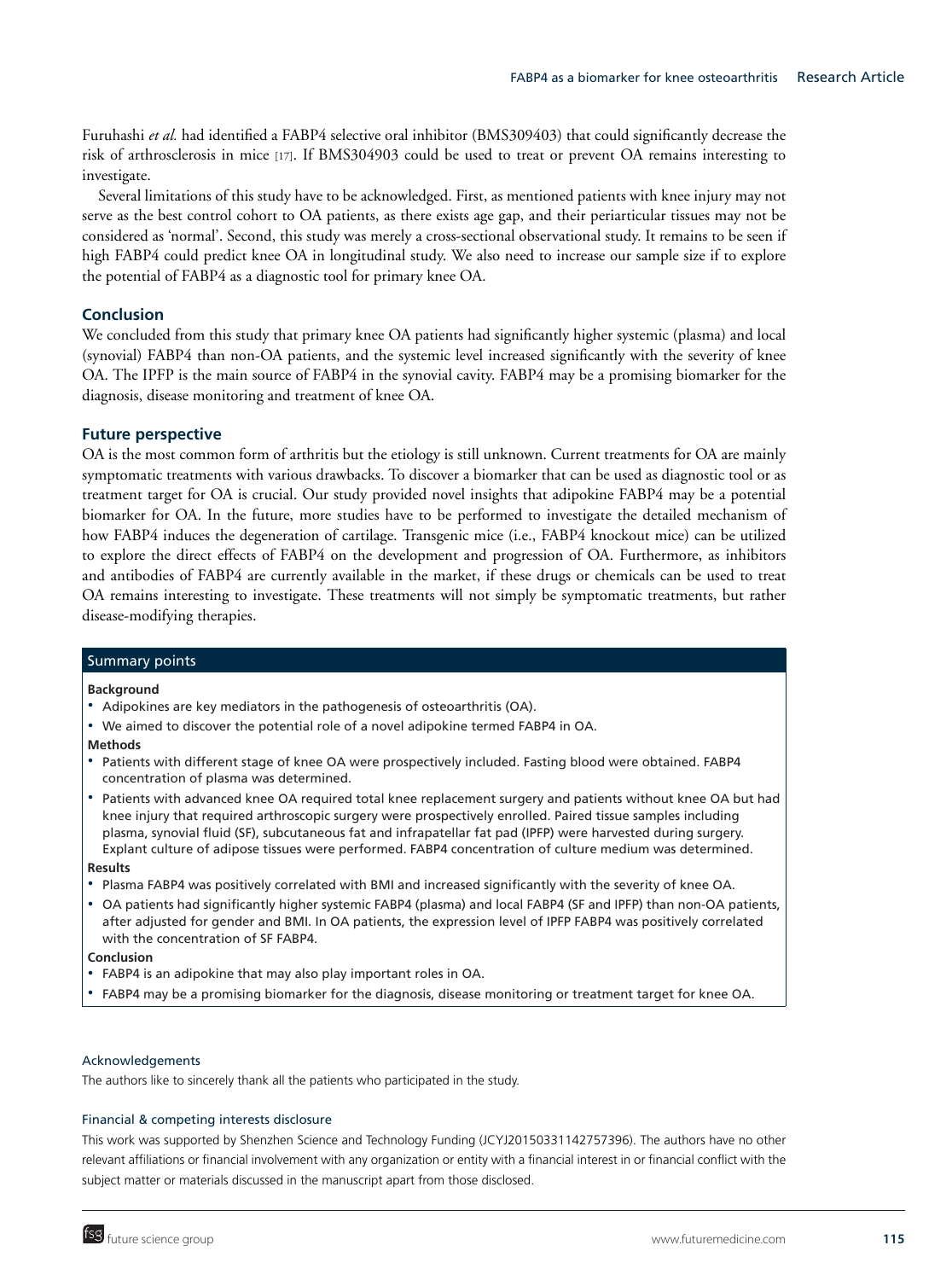Furuhashi *et al.* had identified a FABP4 selective oral inhibitor (BMS309403) that could significantly decrease the risk of arthrosclerosis in mice [17]. If BMS304903 could be used to treat or prevent OA remains interesting to investigate.

Several limitations of this study have to be acknowledged. First, as mentioned patients with knee injury may not serve as the best control cohort to OA patients, as there exists age gap, and their periarticular tissues may not be considered as 'normal'. Second, this study was merely a cross-sectional observational study. It remains to be seen if high FABP4 could predict knee OA in longitudinal study. We also need to increase our sample size if to explore the potential of FABP4 as a diagnostic tool for primary knee OA.

### **Conclusion**

We concluded from this study that primary knee OA patients had significantly higher systemic (plasma) and local (synovial) FABP4 than non-OA patients, and the systemic level increased significantly with the severity of knee OA. The IPFP is the main source of FABP4 in the synovial cavity. FABP4 may be a promising biomarker for the diagnosis, disease monitoring and treatment of knee OA.

# **Future perspective**

OA is the most common form of arthritis but the etiology is still unknown. Current treatments for OA are mainly symptomatic treatments with various drawbacks. To discover a biomarker that can be used as diagnostic tool or as treatment target for OA is crucial. Our study provided novel insights that adipokine FABP4 may be a potential biomarker for OA. In the future, more studies have to be performed to investigate the detailed mechanism of how FABP4 induces the degeneration of cartilage. Transgenic mice (i.e., FABP4 knockout mice) can be utilized to explore the direct effects of FABP4 on the development and progression of OA. Furthermore, as inhibitors and antibodies of FABP4 are currently available in the market, if these drugs or chemicals can be used to treat OA remains interesting to investigate. These treatments will not simply be symptomatic treatments, but rather disease-modifying therapies.

#### Summary points

**Background**

- Adipokines are key mediators in the pathogenesis of osteoarthritis (OA).
- We aimed to discover the potential role of a novel adipokine termed FABP4 in OA.

#### **Methods**

- Patients with different stage of knee OA were prospectively included. Fasting blood were obtained. FABP4 concentration of plasma was determined.
- Patients with advanced knee OA required total knee replacement surgery and patients without knee OA but had knee injury that required arthroscopic surgery were prospectively enrolled. Paired tissue samples including plasma, synovial fluid (SF), subcutaneous fat and infrapatellar fat pad (IPFP) were harvested during surgery. Explant culture of adipose tissues were performed. FABP4 concentration of culture medium was determined. **Results**

# - Plasma FABP4 was positively correlated with BMI and increased significantly with the severity of knee OA.

- OA patients had significantly higher systemic FABP4 (plasma) and local FABP4 (SF and IPFP) than non-OA patients, after adjusted for gender and BMI. In OA patients, the expression level of IPFP FABP4 was positively correlated with the concentration of SF FABP4.

#### **Conclusion**

- -FABP4 is an adipokine that may also play important roles in OA.
- -FABP4 may be a promising biomarker for the diagnosis, disease monitoring or treatment target for knee OA.

#### Acknowledgements

The authors like to sincerely thank all the patients who participated in the study.

# Financial & competing interests disclosure

This work was supported by Shenzhen Science and Technology Funding (JCYJ20150331142757396). The authors have no other relevant affiliations or financial involvement with any organization or entity with a financial interest in or financial conflict with the subject matter or materials discussed in the manuscript apart from those disclosed.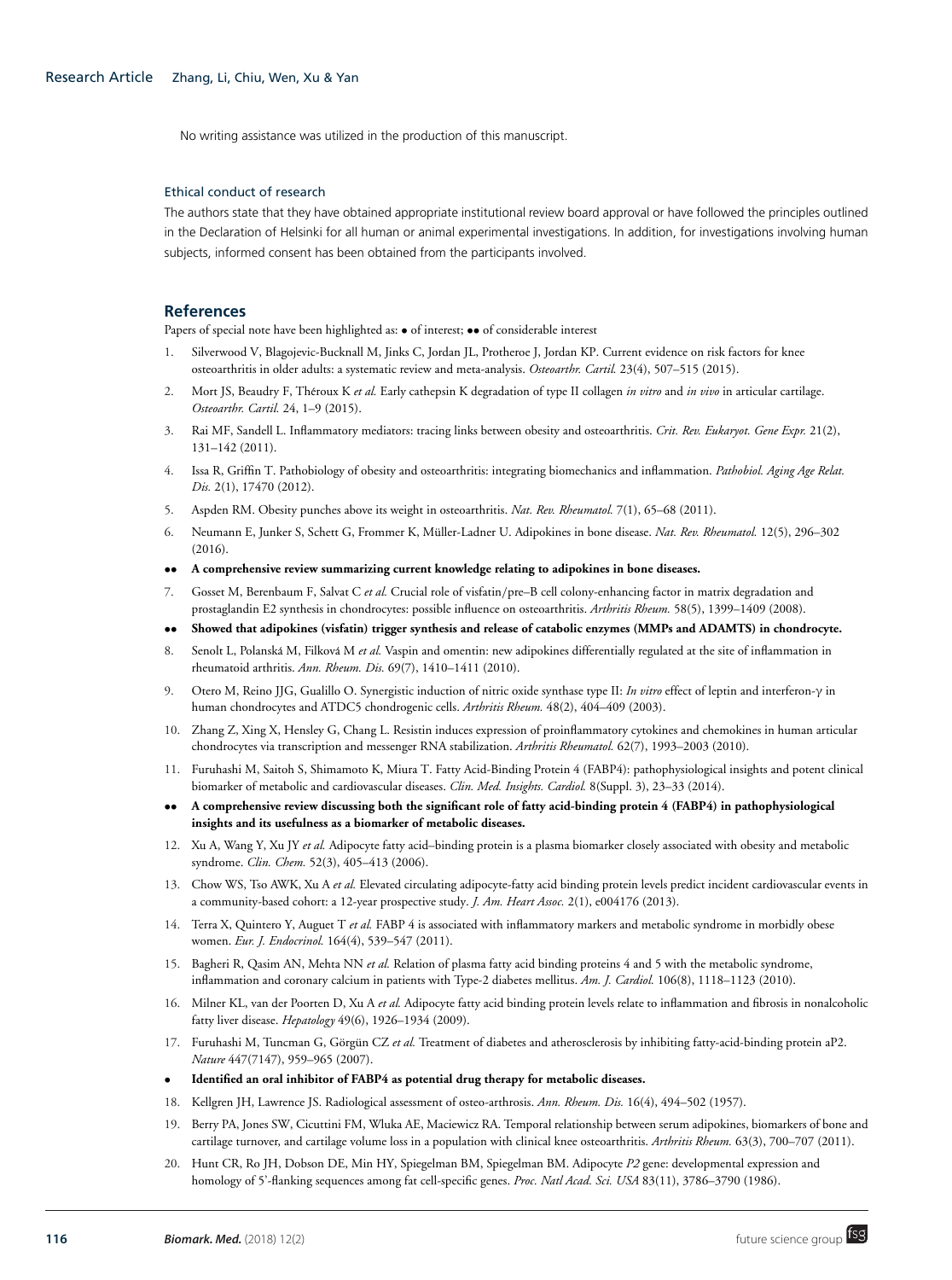No writing assistance was utilized in the production of this manuscript.

#### Ethical conduct of research

The authors state that they have obtained appropriate institutional review board approval or have followed the principles outlined in the Declaration of Helsinki for all human or animal experimental investigations. In addition, for investigations involving human subjects, informed consent has been obtained from the participants involved.

#### **References**

Papers of special note have been highlighted as:  $\bullet$  of interest;  $\bullet \bullet$  of considerable interest

- 1. Silverwood V, Blagojevic-Bucknall M, Jinks C, Jordan JL, Protheroe J, Jordan KP. Current evidence on risk factors for knee osteoarthritis in older adults: a systematic review and meta-analysis. *Osteoarthr. Cartil.* 23(4), 507–515 (2015).
- 2. Mort JS, Beaudry F, Théroux K et al. Early cathepsin K degradation of type II collagen *in vitro* and *in vivo* in articular cartilage. *Osteoarthr. Cartil.* 24, 1–9 (2015).
- 3. Rai MF, Sandell L. Inflammatory mediators: tracing links between obesity and osteoarthritis. *Crit. Rev. Eukaryot. Gene Expr.* 21(2), 131–142 (2011).
- 4. Issa R, Griffin T. Pathobiology of obesity and osteoarthritis: integrating biomechanics and inflammation. *Pathobiol. Aging Age Relat. Dis.* 2(1), 17470 (2012).
- 5. Aspden RM. Obesity punches above its weight in osteoarthritis. *Nat. Rev. Rheumatol.* 7(1), 65–68 (2011).
- 6. Neumann E, Junker S, Schett G, Frommer K, Müller-Ladner U. Adipokines in bone disease. Nat. Rev. Rheumatol. 12(5), 296-302 (2016).
- •• **A comprehensive review summarizing current knowledge relating to adipokines in bone diseases.**
- 7. Gosset M, Berenbaum F, Salvat C *et al.* Crucial role of visfatin/pre–B cell colony-enhancing factor in matrix degradation and prostaglandin E2 synthesis in chondrocytes: possible influence on osteoarthritis. *Arthritis Rheum.* 58(5), 1399–1409 (2008).
- •• **Showed that adipokines (visfatin) trigger synthesis and release of catabolic enzymes (MMPs and ADAMTS) in chondrocyte.**
- 8. Senolt L, Polanská M, Filková M et al. Vaspin and omentin: new adipokines differentially regulated at the site of inflammation in rheumatoid arthritis. *Ann. Rheum. Dis.* 69(7), 1410–1411 (2010).
- 9. Otero M, Reino JJG, Gualillo O. Synergistic induction of nitric oxide synthase type II: *In vitro* effect of leptin and interferon-γ in human chondrocytes and ATDC5 chondrogenic cells. *Arthritis Rheum.* 48(2), 404–409 (2003).
- 10. Zhang Z, Xing X, Hensley G, Chang L. Resistin induces expression of proinflammatory cytokines and chemokines in human articular chondrocytes via transcription and messenger RNA stabilization. *Arthritis Rheumatol.* 62(7), 1993–2003 (2010).
- 11. Furuhashi M, Saitoh S, Shimamoto K, Miura T. Fatty Acid-Binding Protein 4 (FABP4): pathophysiological insights and potent clinical biomarker of metabolic and cardiovascular diseases. *Clin. Med. Insights. Cardiol.* 8(Suppl. 3), 23–33 (2014).
- •• **A comprehensive review discussing both the significant role of fatty acid-binding protein 4 (FABP4) in pathophysiological insights and its usefulness as a biomarker of metabolic diseases.**
- 12. Xu A, Wang Y, Xu JY *et al.* Adipocyte fatty acid–binding protein is a plasma biomarker closely associated with obesity and metabolic syndrome. *Clin. Chem.* 52(3), 405–413 (2006).
- 13. Chow WS, Tso AWK, Xu A *et al.* Elevated circulating adipocyte-fatty acid binding protein levels predict incident cardiovascular events in a community-based cohort: a 12-year prospective study. *J. Am. Heart Assoc.* 2(1), e004176 (2013).
- 14. Terra X, Quintero Y, Auguet T *et al.* FABP 4 is associated with inflammatory markers and metabolic syndrome in morbidly obese women. *Eur. J. Endocrinol.* 164(4), 539–547 (2011).
- 15. Bagheri R, Qasim AN, Mehta NN *et al.* Relation of plasma fatty acid binding proteins 4 and 5 with the metabolic syndrome, inflammation and coronary calcium in patients with Type-2 diabetes mellitus. *Am. J. Cardiol.* 106(8), 1118–1123 (2010).
- 16. Milner KL, van der Poorten D, Xu A *et al.* Adipocyte fatty acid binding protein levels relate to inflammation and fibrosis in nonalcoholic fatty liver disease. *Hepatology* 49(6), 1926–1934 (2009).
- 17. Furuhashi M, Tuncman G, Görgün CZ et al. Treatment of diabetes and atherosclerosis by inhibiting fatty-acid-binding protein aP2. *Nature* 447(7147), 959–965 (2007).
- **Identified an oral inhibitor of FABP4 as potential drug therapy for metabolic diseases.**
- 18. Kellgren JH, Lawrence JS. Radiological assessment of osteo-arthrosis. *Ann. Rheum. Dis.* 16(4), 494–502 (1957).
- 19. Berry PA, Jones SW, Cicuttini FM, Wluka AE, Maciewicz RA. Temporal relationship between serum adipokines, biomarkers of bone and cartilage turnover, and cartilage volume loss in a population with clinical knee osteoarthritis. *Arthritis Rheum.* 63(3), 700–707 (2011).
- 20. Hunt CR, Ro JH, Dobson DE, Min HY, Spiegelman BM, Spiegelman BM. Adipocyte *P2* gene: developmental expression and homology of 5'-flanking sequences among fat cell-specific genes. *Proc. Natl Acad. Sci. USA* 83(11), 3786–3790 (1986).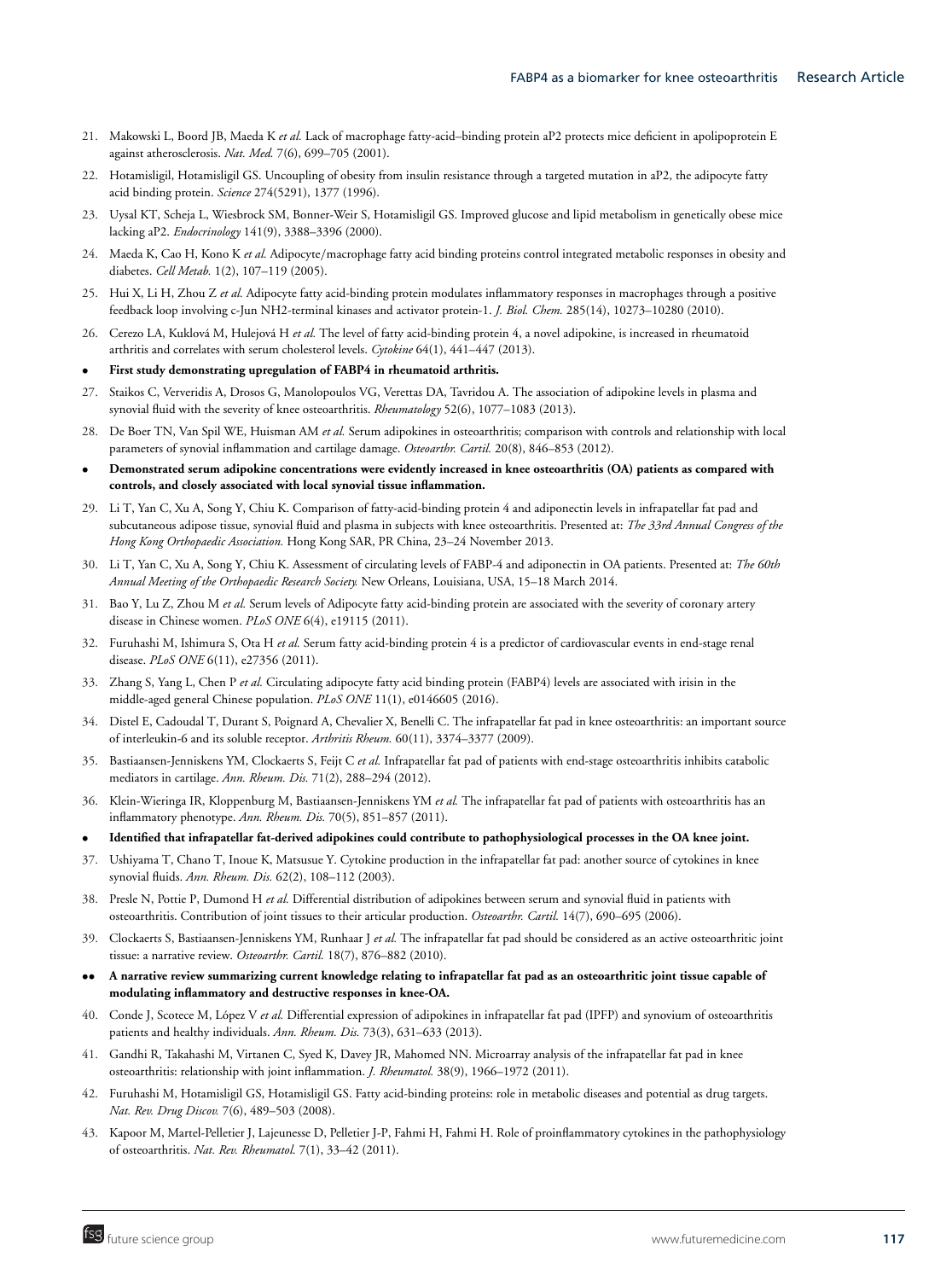- 21. Makowski L, Boord JB, Maeda K *et al.* Lack of macrophage fatty-acid–binding protein aP2 protects mice deficient in apolipoprotein E against atherosclerosis. *Nat. Med.* 7(6), 699–705 (2001).
- 22. Hotamisligil, Hotamisligil GS. Uncoupling of obesity from insulin resistance through a targeted mutation in aP2, the adipocyte fatty acid binding protein. *Science* 274(5291), 1377 (1996).
- 23. Uysal KT, Scheja L, Wiesbrock SM, Bonner-Weir S, Hotamisligil GS. Improved glucose and lipid metabolism in genetically obese mice lacking aP2. *Endocrinology* 141(9), 3388–3396 (2000).
- 24. Maeda K, Cao H, Kono K *et al.* Adipocyte/macrophage fatty acid binding proteins control integrated metabolic responses in obesity and diabetes. *Cell Metab.* 1(2), 107–119 (2005).
- 25. Hui X, Li H, Zhou Z *et al.* Adipocyte fatty acid-binding protein modulates inflammatory responses in macrophages through a positive feedback loop involving c-Jun NH2-terminal kinases and activator protein-1. *J. Biol. Chem.* 285(14), 10273–10280 (2010).
- 26. Cerezo LA, Kuklová M, Hulejová H et al. The level of fatty acid-binding protein 4, a novel adipokine, is increased in rheumatoid arthritis and correlates with serum cholesterol levels. *Cytokine* 64(1), 441–447 (2013).
- **First study demonstrating upregulation of FABP4 in rheumatoid arthritis.**
- 27. Staikos C, Ververidis A, Drosos G, Manolopoulos VG, Verettas DA, Tavridou A. The association of adipokine levels in plasma and synovial fluid with the severity of knee osteoarthritis. *Rheumatology* 52(6), 1077–1083 (2013).
- 28. De Boer TN, Van Spil WE, Huisman AM *et al.* Serum adipokines in osteoarthritis; comparison with controls and relationship with local parameters of synovial inflammation and cartilage damage. *Osteoarthr. Cartil.* 20(8), 846–853 (2012).
- **Demonstrated serum adipokine concentrations were evidently increased in knee osteoarthritis (OA) patients as compared with controls, and closely associated with local synovial tissue inflammation.**
- 29. Li T, Yan C, Xu A, Song Y, Chiu K. Comparison of fatty-acid-binding protein 4 and adiponectin levels in infrapatellar fat pad and subcutaneous adipose tissue, synovial fluid and plasma in subjects with knee osteoarthritis. Presented at: *The 33rd Annual Congress of the Hong Kong Orthopaedic Association.* Hong Kong SAR, PR China, 23–24 November 2013.
- 30. Li T, Yan C, Xu A, Song Y, Chiu K. Assessment of circulating levels of FABP-4 and adiponectin in OA patients. Presented at: *The 60th Annual Meeting of the Orthopaedic Research Society.* New Orleans, Louisiana, USA, 15–18 March 2014.
- 31. Bao Y, Lu Z, Zhou M *et al.* Serum levels of Adipocyte fatty acid-binding protein are associated with the severity of coronary artery disease in Chinese women. *PLoS ONE* 6(4), e19115 (2011).
- 32. Furuhashi M, Ishimura S, Ota H *et al.* Serum fatty acid-binding protein 4 is a predictor of cardiovascular events in end-stage renal disease. *PLoS ONE* 6(11), e27356 (2011).
- 33. Zhang S, Yang L, Chen P *et al.* Circulating adipocyte fatty acid binding protein (FABP4) levels are associated with irisin in the middle-aged general Chinese population. *PLoS ONE* 11(1), e0146605 (2016).
- 34. Distel E, Cadoudal T, Durant S, Poignard A, Chevalier X, Benelli C. The infrapatellar fat pad in knee osteoarthritis: an important source of interleukin-6 and its soluble receptor. *Arthritis Rheum.* 60(11), 3374–3377 (2009).
- 35. Bastiaansen-Jenniskens YM, Clockaerts S, Feijt C *et al.* Infrapatellar fat pad of patients with end-stage osteoarthritis inhibits catabolic mediators in cartilage. *Ann. Rheum. Dis.* 71(2), 288–294 (2012).
- 36. Klein-Wieringa IR, Kloppenburg M, Bastiaansen-Jenniskens YM *et al.* The infrapatellar fat pad of patients with osteoarthritis has an inflammatory phenotype. *Ann. Rheum. Dis.* 70(5), 851–857 (2011).
- **Identified that infrapatellar fat-derived adipokines could contribute to pathophysiological processes in the OA knee joint.**
- 37. Ushiyama T, Chano T, Inoue K, Matsusue Y. Cytokine production in the infrapatellar fat pad: another source of cytokines in knee synovial fluids. *Ann. Rheum. Dis.* 62(2), 108–112 (2003).
- 38. Presle N, Pottie P, Dumond H *et al.* Differential distribution of adipokines between serum and synovial fluid in patients with osteoarthritis. Contribution of joint tissues to their articular production. *Osteoarthr. Cartil.* 14(7), 690–695 (2006).
- 39. Clockaerts S, Bastiaansen-Jenniskens YM, Runhaar J *et al.* The infrapatellar fat pad should be considered as an active osteoarthritic joint tissue: a narrative review. *Osteoarthr. Cartil.* 18(7), 876–882 (2010).
- •• **A narrative review summarizing current knowledge relating to infrapatellar fat pad as an osteoarthritic joint tissue capable of modulating inflammatory and destructive responses in knee-OA.**
- 40. Conde J, Scotece M, López V et al. Differential expression of adipokines in infrapatellar fat pad (IPFP) and synovium of osteoarthritis patients and healthy individuals. *Ann. Rheum. Dis.* 73(3), 631–633 (2013).
- 41. Gandhi R, Takahashi M, Virtanen C, Syed K, Davey JR, Mahomed NN. Microarray analysis of the infrapatellar fat pad in knee osteoarthritis: relationship with joint inflammation. *J. Rheumatol.* 38(9), 1966–1972 (2011).
- 42. Furuhashi M, Hotamisligil GS, Hotamisligil GS. Fatty acid-binding proteins: role in metabolic diseases and potential as drug targets. *Nat. Rev. Drug Discov.* 7(6), 489–503 (2008).
- 43. Kapoor M, Martel-Pelletier J, Lajeunesse D, Pelletier J-P, Fahmi H, Fahmi H. Role of proinflammatory cytokines in the pathophysiology of osteoarthritis. *Nat. Rev. Rheumatol.* 7(1), 33–42 (2011).